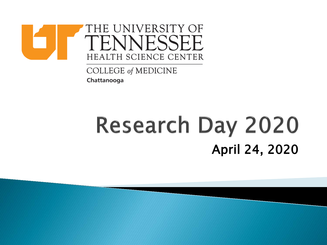

#### **COLLEGE of MEDICINE** Chattanooga

## **Research Day 2020** April 24, 2020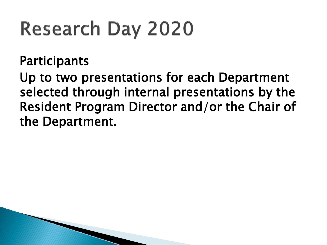# **Research Day 2020**

**Participants** 

Up to two presentations for each Department selected through internal presentations by the Resident Program Director and/or the Chair of the Department.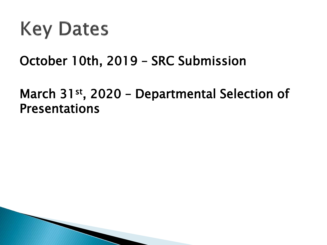### **Key Dates**

#### October 10th, 2019 – SRC Submission

#### March 31<sup>st</sup>, 2020 – Departmental Selection of Presentations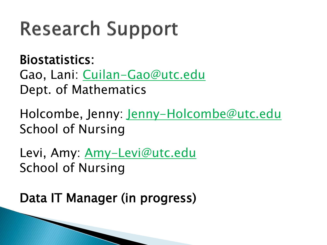## **Research Support**

Biostatistics:

Gao, Lani: [Cuilan-Gao@utc.edu](mailto:Cuilan-Gao@utc.edu) Dept. of Mathematics

Holcombe, Jenny: [Jenny-Holcombe@utc.edu](mailto:Jenny-Holcombe@utc.edu) School of Nursing

Levi, Amy: [Amy-Levi@utc.edu](mailto:Amy-Levi@utc.edu) School of Nursing

Data IT Manager (in progress)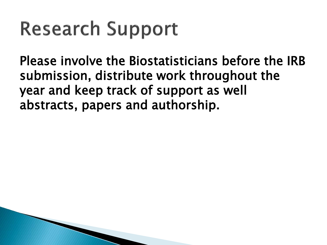## **Research Support**

Please involve the Biostatisticians before the IRB submission, distribute work throughout the year and keep track of support as well abstracts, papers and authorship.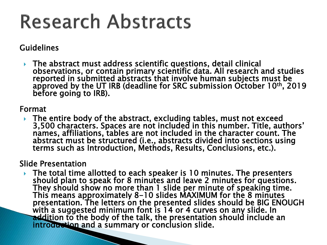### **Research Abstracts**

#### Guidelines

 The abstract must address scientific questions, detail clinical observations, or contain primary scientific data. All research and studies reported in submitted abstracts that involve human subjects must be approved by the UT IRB (deadline for SRC submission October 10<sup>th</sup>, 2019<br>before going to IRB).

#### Format

 The entire body of the abstract, excluding tables, must not exceed 3,500 characters. Spaces are not included in this number. Title, authors' names, affiliations, tables are not included in the character count. The abstract must be structured (i.e., abstracts divided into sections using terms such as Introduction, Methods, Results, Conclusions, etc.).

#### Slide Presentation

 The total time allotted to each speaker is 10 minutes. The presenters should plan to speak for 8 minutes and leave 2 minutes for questions. They should show no more than 1 slide per minute of speaking time. This means approximately 8-10 slides MAXIMUM for the 8 minutes presentation. The letters on the presented slides should be BIG ENOUGH<br>with a suggested minimum font is 14 or 4 curves on any slide. In<br>addition to the body of the talk, the presentation should include an introduction and a summary or conclusion slide.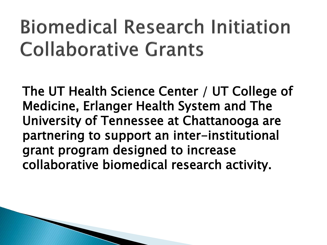## **Biomedical Research Initiation Collaborative Grants**

The UT Health Science Center / UT College of Medicine, Erlanger Health System and The University of Tennessee at Chattanooga are partnering to support an inter-institutional grant program designed to increase collaborative biomedical research activity.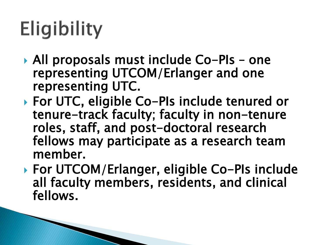# **Eligibility**

- ▶ All proposals must include Co-PIs one representing UTCOM/Erlanger and one representing UTC.
- ▶ For UTC, eligible Co-PIs include tenured or tenure-track faculty; faculty in non-tenure roles, staff, and post-doctoral research fellows may participate as a research team member.
- For UTCOM/Erlanger, eligible Co-PIs include all faculty members, residents, and clinical fellows.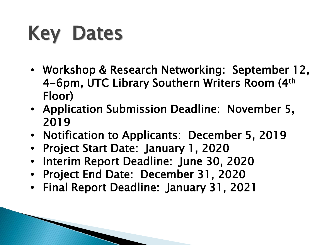# Key Dates

- Workshop & Research Networking: September 12, 4-6pm, UTC Library Southern Writers Room (4th Floor)
- Application Submission Deadline: November 5, 2019
- Notification to Applicants: December 5, 2019
- Project Start Date: January 1, 2020
- Interim Report Deadline: June 30, 2020
- Project End Date: December 31, 2020
- Final Report Deadline: January 31, 2021